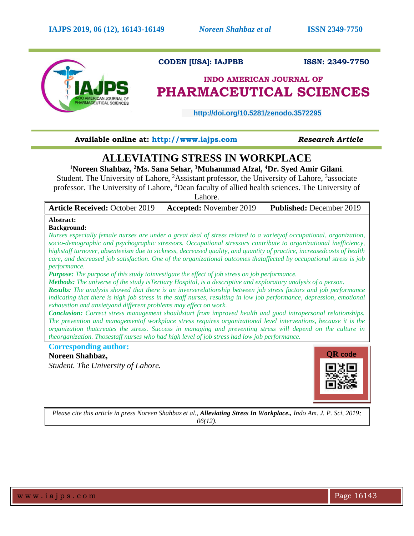

## **CODEN [USA]: IAJPBB ISSN: 2349-7750**

# **INDO AMERICAN JOURNAL OF PHARMACEUTICAL SCIENCES**

 **http://doi.org/10.5281/zenodo.3572295** 

## **Available online at: [http://www.iajps.com](http://www.iajps.com/)** *Research Article*

# **ALLEVIATING STRESS IN WORKPLACE**

**<sup>1</sup>Noreen Shahbaz, <sup>2</sup>Ms. Sana Sehar, <sup>3</sup>Muhammad Afzal, <sup>4</sup>Dr. Syed Amir Gilani**.

Student. The University of Lahore, <sup>2</sup>Assistant professor, the University of Lahore, <sup>3</sup>associate professor. The University of Lahore, <sup>4</sup>Dean faculty of allied health sciences. The University of

Lahore.

| October 2019 | <b>Accepted:</b> November 2019 | <b>Published:</b> December 2019 |
|--------------|--------------------------------|---------------------------------|
|              |                                |                                 |

## **Background:**

**Abstract:**

**Article Received:** 

*Nurses especially female nurses are under a great deal of stress related to a varietyof occupational, organization, socio-demographic and psychographic stressors. Occupational stressors contribute to organizational inefficiency, highstaff turnover, absenteeism due to sickness, decreased quality, and quantity of practice, increasedcosts of health care, and decreased job satisfaction. One of the organizational outcomes thataffected by occupational stress is job performance.*

*Purpose: The purpose of this study toinvestigate the effect of job stress on job performance.*

*Methods: The universe of the study isTertiary Hospital, is a descriptive and exploratory analysis of a person.*

*Results: The analysis showed that there is an inverserelationship between job stress factors and job performance indicating that there is high job stress in the staff nurses, resulting in low job performance, depression, emotional exhaustion and anxietyand different problems may effect on work.* 

*Conclusion: Correct stress management shouldstart from improved health and good intrapersonal relationships. The prevention and managementof workplace stress requires organizational level interventions, because it is the organization thatcreates the stress. Success in managing and preventing stress will depend on the culture in theorganization. Thosestaff nurses who had high level of job stress had low job performance.* 

### **Corresponding author:**

**Noreen Shahbaz,**

*Student. The University of Lahore.*



*Please cite this article in press Noreen Shahbaz et al., Alleviating Stress In Workplace., Indo Am. J. P. Sci, 2019; 06(12).*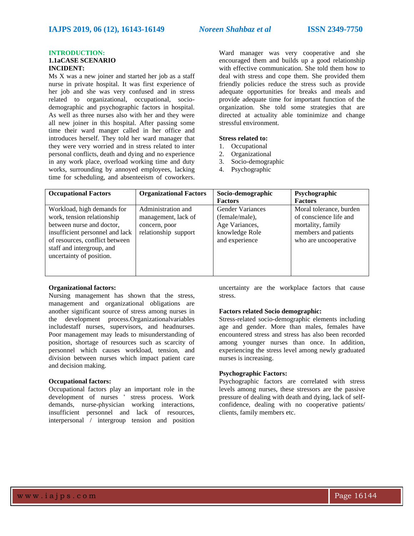#### **INTRODUCTION: 1.1aCASE SCENARIO INCIDENT:**

Ms X was a new joiner and started her job as a staff nurse in private hospital. It was first experience of her job and she was very confused and in stress related to organizational, occupational, sociodemographic and psychographic factors in hospital. As well as three nurses also with her and they were all new joiner in this hospital. After passing some time their ward manger called in her office and introduces herself. They told her ward manager that they were very worried and in stress related to inter personal conflicts, death and dying and no experience in any work place, overload working time and duty works, surrounding by annoyed employees, lacking time for scheduling, and absenteeism of coworkers.

Ward manager was very cooperative and she encouraged them and builds up a good relationship with effective communication. She told them how to deal with stress and cope them. She provided them friendly policies reduce the stress such as provide adequate opportunities for breaks and meals and provide adequate time for important function of the organization. She told some strategies that are directed at actuality able tominimize and change stressful environment.

### **Stress related to:**

- 1. Occupational
- 2. Organizational
- 3. Socio-demographic
- 4. Psychographic

| <b>Occupational Factors</b>                                                                                                                                                                                         | <b>Organizational Factors</b>                                                      | Socio-demographic                                                                               | Psychographic                                                                                                           |
|---------------------------------------------------------------------------------------------------------------------------------------------------------------------------------------------------------------------|------------------------------------------------------------------------------------|-------------------------------------------------------------------------------------------------|-------------------------------------------------------------------------------------------------------------------------|
|                                                                                                                                                                                                                     |                                                                                    | <b>Factors</b>                                                                                  | <b>Factors</b>                                                                                                          |
| Workload, high demands for<br>work, tension relationship<br>between nurse and doctor,<br>insufficient personnel and lack<br>of resources, conflict between<br>staff and intergroup, and<br>uncertainty of position. | Administration and<br>management, lack of<br>concern, poor<br>relationship support | <b>Gender Variances</b><br>(female/male),<br>Age Variances,<br>knowledge Role<br>and experience | Moral tolerance, burden<br>of conscience life and<br>mortality, family<br>members and patients<br>who are uncooperative |

#### **Organizational factors:**

Nursing management has shown that the stress, management and organizational obligations are another significant source of stress among nurses in the development process.Organizationalvariables includestaff nurses, supervisors, and headnurses. Poor management may leads to misunderstanding of position, shortage of resources such as scarcity of personnel which causes workload, tension, and division between nurses which impact patient care and decision making.

#### **Occupational factors:**

Occupational factors play an important role in the development of nurses ' stress process. Work demands, nurse-physician working interactions, insufficient personnel and lack of resources, interpersonal / intergroup tension and position

uncertainty are the workplace factors that cause stress.

#### **Factors related Socio demographic:**

Stress-related socio-demographic elements including age and gender. More than males, females have encountered stress and stress has also been recorded among younger nurses than once. In addition, experiencing the stress level among newly graduated nurses is increasing.

#### **Psychographic Factors:**

Psychographic factors are correlated with stress levels among nurses, these stressors are the passive pressure of dealing with death and dying, lack of selfconfidence, dealing with no cooperative patients/ clients, family members etc.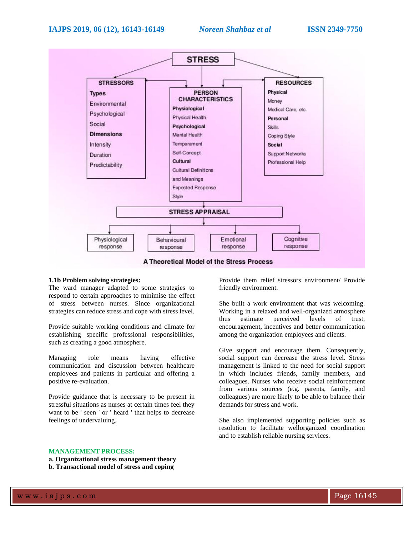

# **A Theoretical Model of the Stress Process**

#### **1.1b Problem solving strategies:**

The ward manager adapted to some strategies to respond to certain approaches to minimise the effect of stress between nurses. Since organizational strategies can reduce stress and cope with stress level.

Provide suitable working conditions and climate for establishing specific professional responsibilities, such as creating a good atmosphere.

Managing role means having effective communication and discussion between healthcare employees and patients in particular and offering a positive re-evaluation.

Provide guidance that is necessary to be present in stressful situations as nurses at certain times feel they want to be ' seen ' or ' heard ' that helps to decrease feelings of undervaluing.

Provide them relief stressors environment/ Provide friendly environment.

She built a work environment that was welcoming. Working in a relaxed and well-organized atmosphere thus estimate perceived levels of trust, encouragement, incentives and better communication among the organization employees and clients.

Give support and encourage them. Consequently, social support can decrease the stress level. Stress management is linked to the need for social support in which includes friends, family members, and colleagues. Nurses who receive social reinforcement from various sources (e.g. parents, family, and colleagues) are more likely to be able to balance their demands for stress and work.

She also implemented supporting policies such as resolution to facilitate wellorganized coordination and to establish reliable nursing services.

#### **MANAGEMENT PROCESS:**

**a. Organizational stress management theory** 

**b. Transactional model of stress and coping**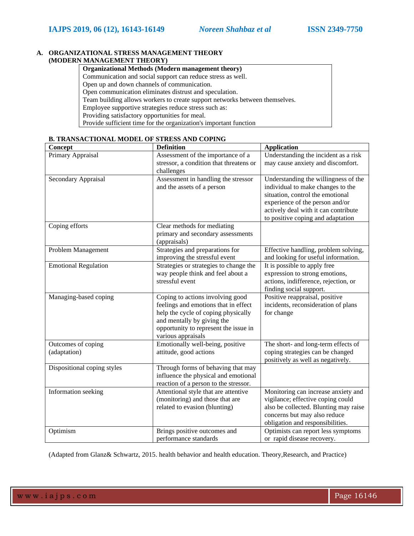### **A. ORGANIZATIONAL STRESS MANAGEMENT THEORY (MODERN MANAGEMENT THEORY)**

| <b>Organizational Methods (Modern management theory)</b>                    |  |
|-----------------------------------------------------------------------------|--|
| Communication and social support can reduce stress as well.                 |  |
| Open up and down channels of communication.                                 |  |
| Open communication eliminates distrust and speculation.                     |  |
| Team building allows workers to create support networks between themselves. |  |
| Employee supportive strategies reduce stress such as:                       |  |
| Providing satisfactory opportunities for meal.                              |  |
| Provide sufficient time for the organization's important function           |  |

#### **B. TRANSACTIONAL MODEL OF STRESS AND COPING**

| Concept                            | <b>Definition</b>                                                                                                                                                                                            | <b>Application</b>                                                                                                                                                                                                            |
|------------------------------------|--------------------------------------------------------------------------------------------------------------------------------------------------------------------------------------------------------------|-------------------------------------------------------------------------------------------------------------------------------------------------------------------------------------------------------------------------------|
| Primary Appraisal                  | Assessment of the importance of a<br>stressor, a condition that threatens or<br>challenges                                                                                                                   | Understanding the incident as a risk<br>may cause anxiety and discomfort.                                                                                                                                                     |
| Secondary Appraisal                | Assessment in handling the stressor<br>and the assets of a person                                                                                                                                            | Understanding the willingness of the<br>individual to make changes to the<br>situation, control the emotional<br>experience of the person and/or<br>actively deal with it can contribute<br>to positive coping and adaptation |
| Coping efforts                     | Clear methods for mediating<br>primary and secondary assessments<br>(appraisals)                                                                                                                             |                                                                                                                                                                                                                               |
| Problem Management                 | Strategies and preparations for<br>improving the stressful event                                                                                                                                             | Effective handling, problem solving,<br>and looking for useful information.                                                                                                                                                   |
| <b>Emotional Regulation</b>        | Strategies or strategies to change the<br>way people think and feel about a<br>stressful event                                                                                                               | It is possible to apply free<br>expression to strong emotions,<br>actions, indifference, rejection, or<br>finding social support.                                                                                             |
| Managing-based coping              | Coping to actions involving good<br>feelings and emotions that in effect<br>help the cycle of coping physically<br>and mentally by giving the<br>opportunity to represent the issue in<br>various appraisals | Positive reappraisal, positive<br>incidents, reconsideration of plans<br>for change                                                                                                                                           |
| Outcomes of coping<br>(adaptation) | Emotionally well-being, positive<br>attitude, good actions                                                                                                                                                   | The short- and long-term effects of<br>coping strategies can be changed<br>positively as well as negatively.                                                                                                                  |
| Dispositional coping styles        | Through forms of behaving that may<br>influence the physical and emotional<br>reaction of a person to the stressor.                                                                                          |                                                                                                                                                                                                                               |
| Information seeking                | Attentional style that are attentive<br>(monitoring) and those that are<br>related to evasion (blunting)                                                                                                     | Monitoring can increase anxiety and<br>vigilance; effective coping could<br>also be collected. Blunting may raise<br>concerns but may also reduce<br>obligation and responsibilities.                                         |
| Optimism                           | Brings positive outcomes and<br>performance standards                                                                                                                                                        | Optimists can report less symptoms<br>or rapid disease recovery.                                                                                                                                                              |

(Adapted from Glanz& Schwartz, 2015. health behavior and health education. Theory,Research, and Practice)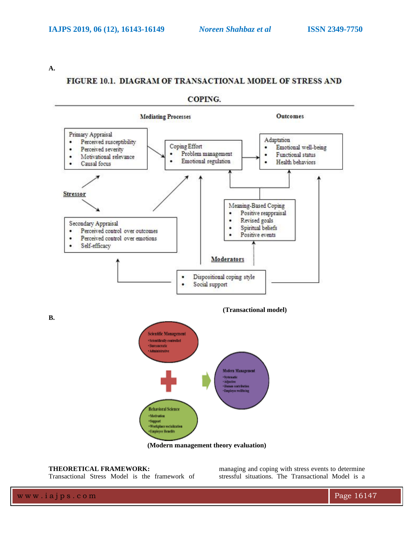**A.**

# FIGURE 10.1. DIAGRAM OF TRANSACTIONAL MODEL OF STRESS AND



## COPING.

**(Modern management theory evaluation)**

## **THEORETICAL FRAMEWORK:**

Transactional Stress Model is the framework of

managing and coping with stress events to determine stressful situations. The Transactional Model is a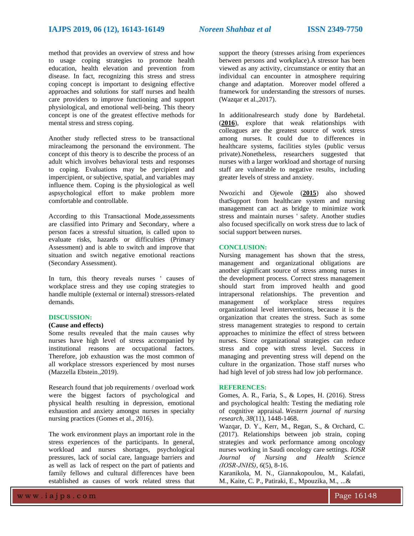method that provides an overview of stress and how to usage coping strategies to promote health education, health elevation and prevention from disease. In fact, recognizing this stress and stress coping concept is important to designing effective approaches and solutions for staff nurses and health care providers to improve functioning and support physiological, and emotional well-being. This theory concept is one of the greatest effective methods for mental stress and stress coping.

Another study reflected stress to be transactional miracleamong the personand the environment. The concept of this theory is to describe the process of an adult which involves behavioral tests and responses to coping. Evaluations may be percipient and impercipient, or subjective, spatial, and variables may influence them. Coping is the physiological as well aspsychological effort to make problem more comfortable and controllable.

According to this Transactional Mode,assessments are classified into Primary and Secondary, where a person faces a stressful situation, is called upon to evaluate risks, hazards or difficulties (Primary Assessment) and is able to switch and improve that situation and switch negative emotional reactions (Secondary Assessment).

In turn, this theory reveals nurses ' causes of workplace stress and they use coping strategies to handle multiple (external or internal) stressors-related demands.

## **DISCUSSION:**

#### **(Cause and effects)**

Some results revealed that the main causes why nurses have high level of stress accompanied by institutional reasons are occupational factors. Therefore, job exhaustion was the most common of all workplace stressors experienced by most nurses (Mazzella Ebstein.,2019).

Research found that job requirements / overload work were the biggest factors of psychological and physical health resulting in depression, emotional exhaustion and anxiety amongst nurses in specialty nursing practices (Gomes et al., 2016).

The work environment plays an important role in the stress experiences of the participants. In general, workload and nurses shortages, psychological pressures, lack of social care, language barriers and as well as lack of respect on the part of patients and family fellows and cultural differences have been established as causes of work related stress that

support the theory (stresses arising from experiences between persons and workplace).A stressor has been viewed as any activity, circumstance or entity that an individual can encounter in atmosphere requiring change and adaptation. Moreover model offered a framework for understanding the stressors of nurses. (Wazqar et al.,2017).

In additionalresearch study done by Bardehetal. (**[2016](https://onlinelibrary.wiley.com/doi/full/10.1002/nop2.192#nop2192-bib-0006)**), explore that weak relationships with colleagues are the greatest source of work stress among nurses. It could due to differences in healthcare systems, facilities styles (public versus private).Nonetheless, researchers suggested that nurses with a larger workload and shortage of nursing staff are vulnerable to negative results, including greater levels of stress and anxiety.

Nwozichi and Ojewole (**[2015](https://onlinelibrary.wiley.com/doi/full/10.1002/nop2.192#nop2192-bib-0028)**) also showed thatSupport from healthcare system and nursing management can act as bridge to minimize work stress and maintain nurses ' safety. Another studies also focused specifically on work stress due to lack of social support between nurses.

#### **CONCLUSION:**

Nursing management has shown that the stress, management and organizational obligations are another significant source of stress among nurses in the development process. Correct stress management should start from improved health and good intrapersonal relationships. The prevention and management of workplace stress requires organizational level interventions, because it is the organization that creates the stress. Such as some stress management strategies to respond to certain approaches to minimize the effect of stress between nurses. Since organizational strategies can reduce stress and cope with stress level. Success in managing and preventing stress will depend on the culture in the organization. Those staff nurses who had high level of job stress had low job performance.

#### **REFERENCES:**

Gomes, A. R., Faria, S., & Lopes, H. (2016). Stress and psychological health: Testing the mediating role of cognitive appraisal. *Western journal of nursing research*, *38*(11), 1448-1468.

Wazqar, D. Y., Kerr, M., Regan, S., & Orchard, C. (2017). Relationships between job strain, coping strategies and work performance among oncology nurses working in Saudi oncology care settings. *IOSR Journal of Nursing and Health Science (IOSR‐JNHS)*, *6*(5), 8-16.

Karanikola, M. N., Giannakopoulou, M., Kalafati, M., Kaite, C. P., Patiraki, E., Mpouzika, M., ...&